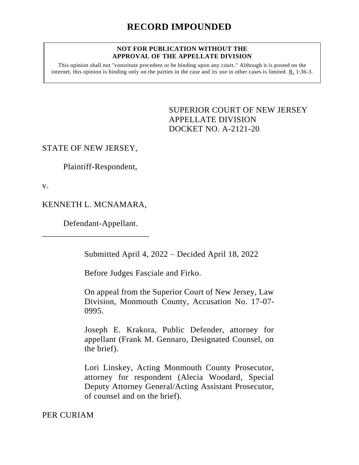#### **NOT FOR PUBLICATION WITHOUT THE APPROVAL OF THE APPELLATE DIVISION**

This opinion shall not "constitute precedent or be binding upon any court." Although it is posted on the internet, this opinion is binding only on the parties in the case and its use in other cases is limited. R. 1:36-3.

> <span id="page-0-0"></span>SUPERIOR COURT OF NEW JERSEY APPELLATE DIVISION DOCKET NO. A-2121-20

## STATE OF NEW JERSEY,

Plaintiff-Respondent,

v.

# KENNETH L. MCNAMARA,

\_\_\_\_\_\_\_\_\_\_\_\_\_\_\_\_\_\_\_\_\_\_\_\_\_

Defendant-Appellant.

Submitted April 4, 2022 – Decided April 18, 2022

Before Judges Fasciale and Firko.

On appeal from the Superior Court of New Jersey, Law Division, Monmouth County, Accusation No. 17-07- 0995.

Joseph E. Krakora, Public Defender, attorney for appellant (Frank M. Gennaro, Designated Counsel, on the brief).

Lori Linskey, Acting Monmouth County Prosecutor, attorney for respondent (Alecia Woodard, Special Deputy Attorney General/Acting Assistant Prosecutor, of counsel and on the brief).

PER CURIAM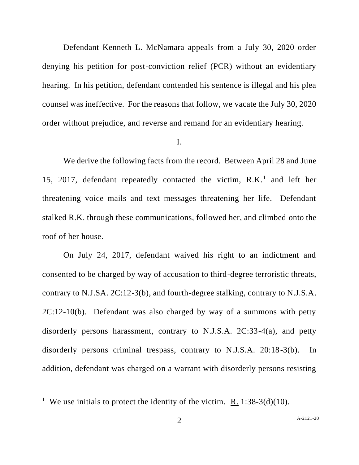Defendant Kenneth L. McNamara appeals from a July 30, 2020 order denying his petition for post-conviction relief (PCR) without an evidentiary hearing. In his petition, defendant contended his sentence is illegal and his plea counsel was ineffective. For the reasons that follow, we vacate the July 30, 2020 order without prejudice, and reverse and remand for an evidentiary hearing.

## I.

We derive the following facts from the record. Between April 28 and June 15, 2017, defendant repeatedly contacted the victim, R.K.<sup>1</sup> and left her threatening voice mails and text messages threatening her life. Defendant stalked R.K. through these communications, followed her, and climbed onto the roof of her house.

On July 24, 2017, defendant waived his right to an indictment and consented to be charged by way of accusation to third-degree terroristic threats, contrary to N.J.SA. 2C:12-3(b), and fourth-degree stalking, contrary to N.J.S.A.  $2C:12-10(b)$ . Defendant was also charged by way of a summons with petty disorderly persons harassment, contrary to N.J.S.A. 2C:33-4(a), and petty disorderly persons criminal trespass, contrary to N.J.S.A. 20:18-3(b). In addition, defendant was charged on a warrant with disorderly persons resisting

<sup>&</sup>lt;sup>1</sup> We use initials to protect the identity of the victim. <u>R.</u> 1:38-3(d)(10).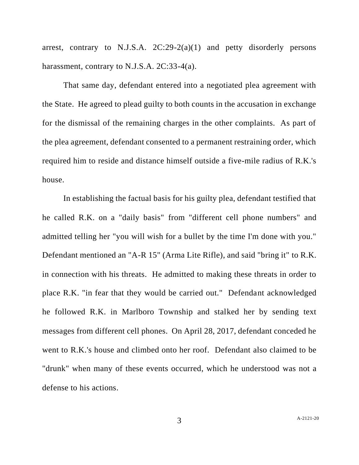arrest, contrary to N.J.S.A.  $2C:29-2(a)(1)$  and petty disorderly persons harassment, contrary to N.J.S.A. 2C:33-4(a).

That same day, defendant entered into a negotiated plea agreement with the State. He agreed to plead guilty to both counts in the accusation in exchange for the dismissal of the remaining charges in the other complaints. As part of the plea agreement, defendant consented to a permanent restraining order, which required him to reside and distance himself outside a five-mile radius of R.K.'s house.

In establishing the factual basis for his guilty plea, defendant testified that he called R.K. on a "daily basis" from "different cell phone numbers" and admitted telling her "you will wish for a bullet by the time I'm done with you." Defendant mentioned an "A-R 15" (Arma Lite Rifle), and said "bring it" to R.K. in connection with his threats. He admitted to making these threats in order to place R.K. "in fear that they would be carried out." Defendant acknowledged he followed R.K. in Marlboro Township and stalked her by sending text messages from different cell phones. On April 28, 2017, defendant conceded he went to R.K.'s house and climbed onto her roof. Defendant also claimed to be "drunk" when many of these events occurred, which he understood was not a defense to his actions.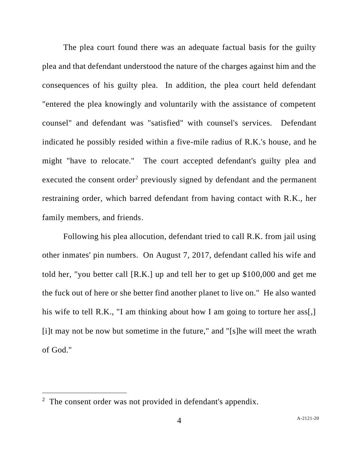The plea court found there was an adequate factual basis for the guilty plea and that defendant understood the nature of the charges against him and the consequences of his guilty plea. In addition, the plea court held defendant "entered the plea knowingly and voluntarily with the assistance of competent counsel" and defendant was "satisfied" with counsel's services. Defendant indicated he possibly resided within a five-mile radius of R.K.'s house, and he might "have to relocate." The court accepted defendant's guilty plea and executed the consent order<sup>2</sup> previously signed by defendant and the permanent restraining order, which barred defendant from having contact with R.K., her family members, and friends.

Following his plea allocution, defendant tried to call R.K. from jail using other inmates' pin numbers. On August 7, 2017, defendant called his wife and told her, "you better call [R.K.] up and tell her to get up \$100,000 and get me the fuck out of here or she better find another planet to live on." He also wanted his wife to tell R.K., "I am thinking about how I am going to torture her ass. [i]t may not be now but sometime in the future," and "[s]he will meet the wrath of God."

 $2$  The consent order was not provided in defendant's appendix.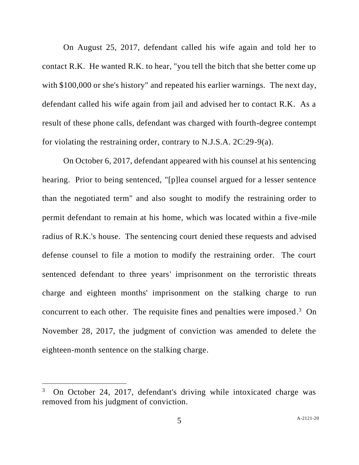On August 25, 2017, defendant called his wife again and told her to contact R.K. He wanted R.K. to hear, "you tell the bitch that she better come up with \$100,000 or she's history" and repeated his earlier warnings. The next day, defendant called his wife again from jail and advised her to contact R.K. As a result of these phone calls, defendant was charged with fourth-degree contempt for violating the restraining order, contrary to N.J.S.A. 2C:29-9(a).

On October 6, 2017, defendant appeared with his counsel at his sentencing hearing. Prior to being sentenced, "[p]lea counsel argued for a lesser sentence than the negotiated term" and also sought to modify the restraining order to permit defendant to remain at his home, which was located within a five-mile radius of R.K.'s house. The sentencing court denied these requests and advised defense counsel to file a motion to modify the restraining order. The court sentenced defendant to three years' imprisonment on the terroristic threats charge and eighteen months' imprisonment on the stalking charge to run concurrent to each other. The requisite fines and penalties were imposed. 3 On November 28, 2017, the judgment of conviction was amended to delete the eighteen-month sentence on the stalking charge.

<sup>3</sup> On October 24, 2017, defendant's driving while intoxicated charge was removed from his judgment of conviction.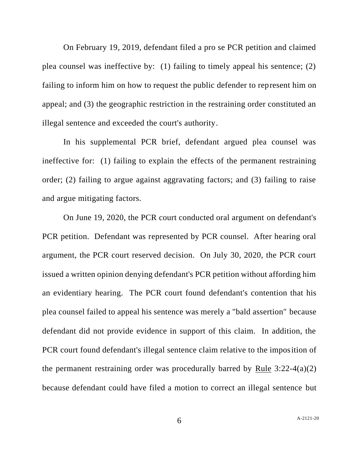On February 19, 2019, defendant filed a pro se PCR petition and claimed plea counsel was ineffective by: (1) failing to timely appeal his sentence; (2) failing to inform him on how to request the public defender to represent him on appeal; and (3) the geographic restriction in the restraining order constituted an illegal sentence and exceeded the court's authority.

In his supplemental PCR brief, defendant argued plea counsel was ineffective for: (1) failing to explain the effects of the permanent restraining order; (2) failing to argue against aggravating factors; and (3) failing to raise and argue mitigating factors.

On June 19, 2020, the PCR court conducted oral argument on defendant's PCR petition. Defendant was represented by PCR counsel. After hearing oral argument, the PCR court reserved decision. On July 30, 2020, the PCR court issued a written opinion denying defendant's PCR petition without affording him an evidentiary hearing. The PCR court found defendant's contention that his plea counsel failed to appeal his sentence was merely a "bald assertion" because defendant did not provide evidence in support of this claim. In addition, the PCR court found defendant's illegal sentence claim relative to the imposition of the permanent restraining order was procedurally barred by Rule  $3:22-4(a)(2)$ because defendant could have filed a motion to correct an illegal sentence but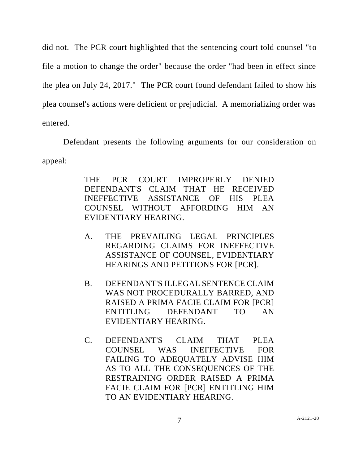did not. The PCR court highlighted that the sentencing court told counsel "to file a motion to change the order" because the order "had been in effect since the plea on July 24, 2017." The PCR court found defendant failed to show his plea counsel's actions were deficient or prejudicial. A memorializing order was entered.

Defendant presents the following arguments for our consideration on appeal:

> THE PCR COURT IMPROPERLY DENIED DEFENDANT'S CLAIM THAT HE RECEIVED INEFFECTIVE ASSISTANCE OF HIS PLEA COUNSEL WITHOUT AFFORDING HIM AN EVIDENTIARY HEARING.

- A. THE PREVAILING LEGAL PRINCIPLES REGARDING CLAIMS FOR INEFFECTIVE ASSISTANCE OF COUNSEL, EVIDENTIARY HEARINGS AND PETITIONS FOR [PCR].
- B. DEFENDANT'S ILLEGAL SENTENCE CLAIM WAS NOT PROCEDURALLY BARRED, AND RAISED A PRIMA FACIE CLAIM FOR [PCR] ENTITLING DEFENDANT TO AN EVIDENTIARY HEARING.
- C. DEFENDANT'S CLAIM THAT PLEA COUNSEL WAS INEFFECTIVE FOR FAILING TO ADEQUATELY ADVISE HIM AS TO ALL THE CONSEQUENCES OF THE RESTRAINING ORDER RAISED A PRIMA FACIE CLAIM FOR [PCR] ENTITLING HIM TO AN EVIDENTIARY HEARING.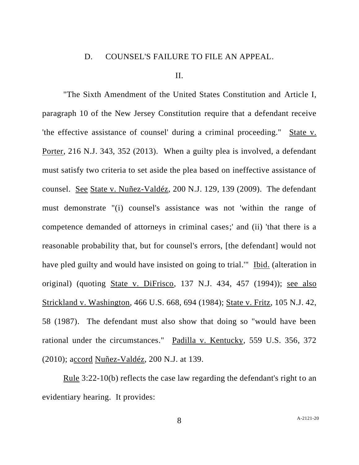#### D. COUNSEL'S FAILURE TO FILE AN APPEAL.

### II.

"The Sixth Amendment of the United States Constitution and Article I, paragraph 10 of the New Jersey Constitution require that a defendant receive 'the effective assistance of counsel' during a criminal proceeding." State v. Porter, 216 N.J. 343, 352 (2013). When a guilty plea is involved, a defendant must satisfy two criteria to set aside the plea based on ineffective assistance of counsel. See State v. Nuñez-Valdéz, 200 N.J. 129, 139 (2009). The defendant must demonstrate "(i) counsel's assistance was not 'within the range of competence demanded of attorneys in criminal cases;' and (ii) 'that there is a reasonable probability that, but for counsel's errors, [the defendant] would not have pled guilty and would have insisted on going to trial.'" Ibid. (alteration in original) (quoting State v. DiFrisco, 137 N.J. 434, 457 (1994)); see also Strickland v. Washington, 466 U.S. 668, 694 (1984); State v. Fritz, 105 N.J. 42, 58 (1987). The defendant must also show that doing so "would have been rational under the circumstances." Padilla v. Kentucky, 559 U.S. 356, 372 (2010); accord Nuñez-Valdéz, 200 N.J. at 139.

Rule 3:22-10(b) reflects the case law regarding the defendant's right to an evidentiary hearing. It provides:

8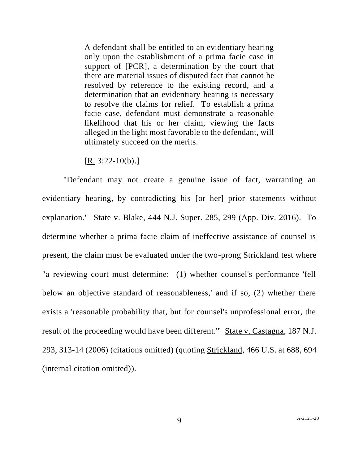A defendant shall be entitled to an evidentiary hearing only upon the establishment of a prima facie case in support of [PCR], a determination by the court that there are material issues of disputed fact that cannot be resolved by reference to the existing record, and a determination that an evidentiary hearing is necessary to resolve the claims for relief. To establish a prima facie case, defendant must demonstrate a reasonable likelihood that his or her claim, viewing the facts alleged in the light most favorable to the defendant, will ultimately succeed on the merits.

 $[R. 3:22-10(b).]$ 

"Defendant may not create a genuine issue of fact, warranting an evidentiary hearing, by contradicting his [or her] prior statements without explanation." State v. Blake, 444 N.J. Super. 285, 299 (App. Div. 2016). To determine whether a prima facie claim of ineffective assistance of counsel is present, the claim must be evaluated under the two-prong Strickland test where "a reviewing court must determine: (1) whether counsel's performance 'fell below an objective standard of reasonableness,' and if so, (2) whether there exists a 'reasonable probability that, but for counsel's unprofessional error, the result of the proceeding would have been different." State v. Castagna, 187 N.J. 293, 313-14 (2006) (citations omitted) (quoting Strickland, 466 U.S. at 688, 694 (internal citation omitted)).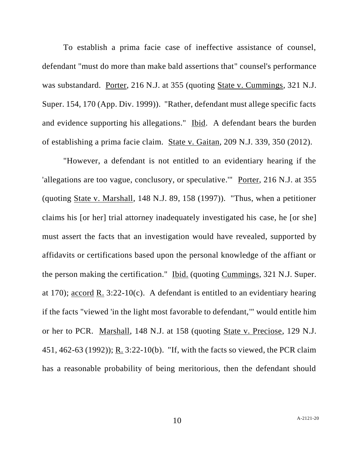To establish a prima facie case of ineffective assistance of counsel, defendant "must do more than make bald assertions that" counsel's performance was substandard. Porter, 216 N.J. at 355 (quoting State v. Cummings, 321 N.J. Super. 154, 170 (App. Div. 1999)). "Rather, defendant must allege specific facts and evidence supporting his allegations." Ibid. A defendant bears the burden of establishing a prima facie claim. State v. Gaitan, 209 N.J. 339, 350 (2012).

"However, a defendant is not entitled to an evidentiary hearing if the 'allegations are too vague, conclusory, or speculative.'" Porter, 216 N.J. at 355 (quoting State v. Marshall, 148 N.J. 89, 158 (1997)). "Thus, when a petitioner claims his [or her] trial attorney inadequately investigated his case, he [or she] must assert the facts that an investigation would have revealed, supported by affidavits or certifications based upon the personal knowledge of the affiant or the person making the certification." Ibid. (quoting Cummings, 321 N.J. Super. at 170); accord R. 3:22-10(c). A defendant is entitled to an evidentiary hearing if the facts "viewed 'in the light most favorable to defendant,'" would entitle him or her to PCR. Marshall, 148 N.J. at 158 (quoting State v. Preciose, 129 N.J. 451, 462-63 (1992)); R. 3:22-10(b). "If, with the facts so viewed, the PCR claim has a reasonable probability of being meritorious, then the defendant should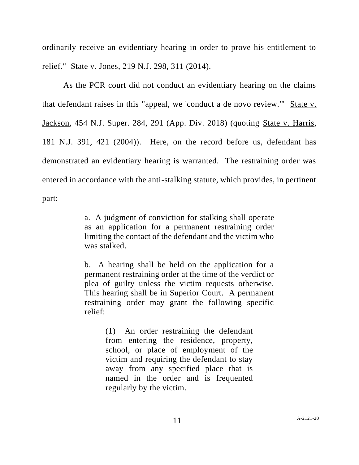ordinarily receive an evidentiary hearing in order to prove his entitlement to relief." State v. Jones, 219 N.J. 298, 311 (2014).

As the PCR court did not conduct an evidentiary hearing on the claims that defendant raises in this "appeal, we 'conduct a de novo review.'" State v. Jackson, 454 N.J. Super. 284, 291 (App. Div. 2018) (quoting State v. Harris, 181 N.J. 391, 421 (2004)). Here, on the record before us, defendant has demonstrated an evidentiary hearing is warranted. The restraining order was entered in accordance with the anti-stalking statute, which provides, in pertinent part:

> a. A judgment of conviction for stalking shall operate as an application for a permanent restraining order limiting the contact of the defendant and the victim who was stalked.

> b. A hearing shall be held on the application for a permanent restraining order at the time of the verdict or plea of guilty unless the victim requests otherwise. This hearing shall be in Superior Court. A permanent restraining order may grant the following specific relief:

> > (1) An order restraining the defendant from entering the residence, property, school, or place of employment of the victim and requiring the defendant to stay away from any specified place that is named in the order and is frequented regularly by the victim.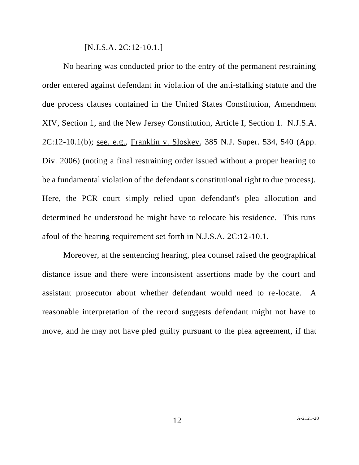[N.J.S.A. 2C:12-10.1.]

No hearing was conducted prior to the entry of the permanent restraining order entered against defendant in violation of the anti-stalking statute and the due process clauses contained in the United States Constitution, Amendment XIV, Section 1, and the New Jersey Constitution, Article I, Section 1. N.J.S.A. 2C:12-10.1(b); see, e.g., Franklin v. Sloskey, 385 N.J. Super. 534, 540 (App. Div. 2006) (noting a final restraining order issued without a proper hearing to be a fundamental violation of the defendant's constitutional right to due process). Here, the PCR court simply relied upon defendant's plea allocution and determined he understood he might have to relocate his residence. This runs afoul of the hearing requirement set forth in N.J.S.A. 2C:12-10.1.

Moreover, at the sentencing hearing, plea counsel raised the geographical distance issue and there were inconsistent assertions made by the court and assistant prosecutor about whether defendant would need to re-locate. A reasonable interpretation of the record suggests defendant might not have to move, and he may not have pled guilty pursuant to the plea agreement, if that